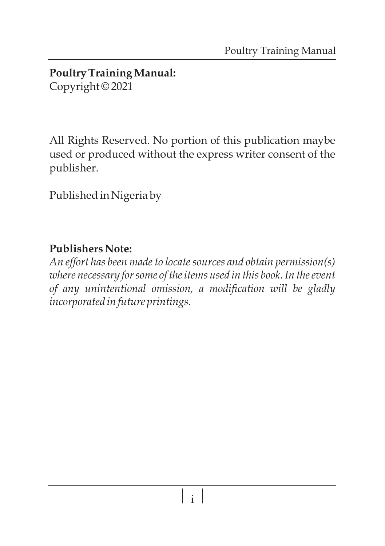#### **Poultry Training Manual:**  Copyright © 2021

All Rights Reserved. No portion of this publication maybe used or produced without the express writer consent of the publisher.

Published in Nigeria by

#### **Publishers Note:**

*An effort has been made to locate sources and obtain permission(s) where necessary for some of the items used in this book. In the event of any unintentional omission, a modification will be gladly incorporated in future printings.*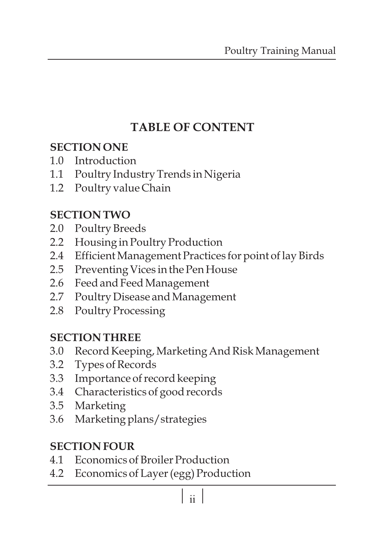# **TABLE OF CONTENT**

#### **SECTION ONE**

- 1.0 Introduction
- 1.1 Poultry Industry Trends in Nigeria
- 1.2 Poultry value Chain

# **SECTION TWO**

- 2.0 Poultry Breeds
- 2.2 Housing in Poultry Production
- 2.4 Efficient Management Practices for point of lay Birds
- 2.5 Preventing Vices in the Pen House
- 2.6 Feed and Feed Management
- 2.7 Poultry Disease and Management
- 2.8 Poultry Processing

# **SECTION THREE**

- 3.0 Record Keeping, Marketing And Risk Management
- 3.2 Types of Records
- 3.3 Importance of record keeping
- 3.4 Characteristics of good records
- 3.5 Marketing
- 3.6 Marketing plans/strategies

# **SECTION FOUR**

- 4.1 Economics of Broiler Production
- 4.2 Economics of Layer (egg) Production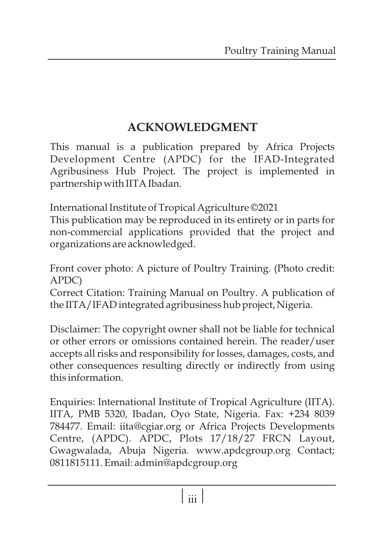# **ACKNOWLEDGMENT**

This manual is a publication prepared by Africa Projects Development Centre (APDC) for the IFAD-Integrated Agribusiness Hub Project. The project is implemented in partnership with IITA Ibadan.

International Institute of Tropical Agriculture ©2021

This publication may be reproduced in its entirety or in parts for non-commercial applications provided that the project and organizations are acknowledged.

Front cover photo: A picture of Poultry Training. (Photo credit: APDC)

Correct Citation: Training Manual on Poultry. A publication of the IITA/IFAD integrated agribusiness hub project, Nigeria.

Disclaimer: The copyright owner shall not be liable for technical or other errors or omissions contained herein. The reader/user accepts all risks and responsibility for losses, damages, costs, and other consequences resulting directly or indirectly from using this information.

Enquiries: International Institute of Tropical Agriculture (IITA). IITA, PMB 5320, Ibadan, Oyo State, Nigeria. Fax: +234 8039 784477. Email: iita@cgiar.org or Africa Projects Developments Centre, (APDC). APDC, Plots 17/18/27 FRCN Layout, Gwagwalada, Abuja Nigeria. www.apdcgroup.org Contact; 0811815111. Email: admin@apdcgroup.org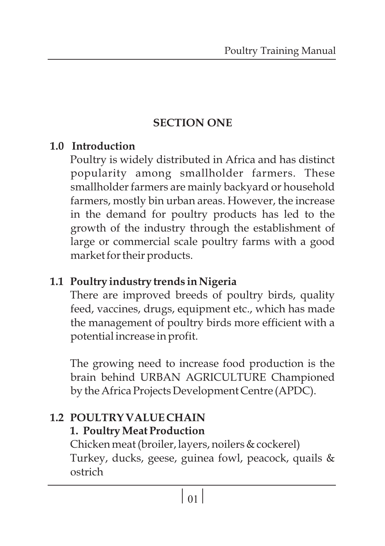# **SECTION ONE**

#### **1.0 Introduction**

Poultry is widely distributed in Africa and has distinct popularity among smallholder farmers. These smallholder farmers are mainly backyard or household farmers, mostly bin urban areas. However, the increase in the demand for poultry products has led to the growth of the industry through the establishment of large or commercial scale poultry farms with a good market for their products.

# **1.1 Poultry industry trends in Nigeria**

There are improved breeds of poultry birds, quality feed, vaccines, drugs, equipment etc., which has made the management of poultry birds more efficient with a potential increase in profit.

The growing need to increase food production is the brain behind URBAN AGRICULTURE Championed by the Africa Projects Development Centre (APDC).

#### **1.2 POULTRY VALUE CHAIN 1. Poultry Meat Production**

Chicken meat (broiler, layers, noilers & cockerel) Turkey, ducks, geese, guinea fowl, peacock, quails & ostrich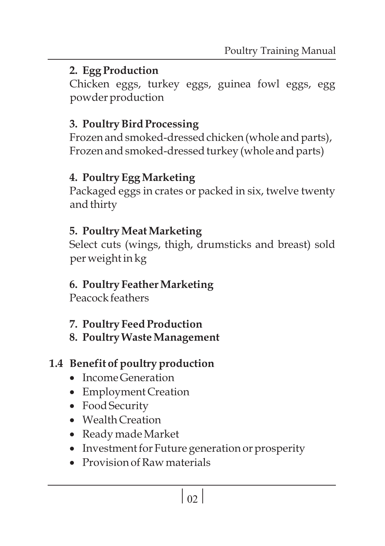# **2. Egg Production**

Chicken eggs, turkey eggs, guinea fowl eggs, egg powder production

#### **3. Poultry Bird Processing**

Frozen and smoked-dressed chicken (whole and parts), Frozen and smoked-dressed turkey (whole and parts)

# **4. Poultry Egg Marketing**

Packaged eggs in crates or packed in six, twelve twenty and thirty

# **5. Poultry Meat Marketing**

Select cuts (wings, thigh, drumsticks and breast) sold per weight in kg

# **6. Poultry Feather Marketing**

Peacock feathers

- **7. Poultry Feed Production**
- **8. Poultry Waste Management**

# **1.4 Benefit of poultry production**<br>• Income Generation

- 
- Income Generation<br>• Employment Creat • Employment Creation<br>• Food Security
- Food Security<br>• Wealth Creation
- 
- Ready made Market
- Ready made Market<br>• Investment for Futu: • Investment for Future generation or prosperity<br>• Provision of Raw materials
- Provision of Raw materials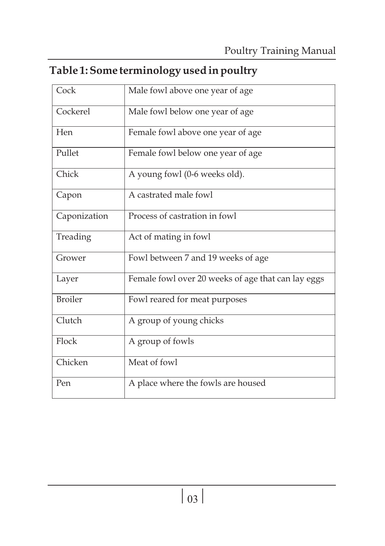# **Table 1: Some terminology used in poultry**

| Cock           | Male fowl above one year of age                    |  |  |  |  |  |
|----------------|----------------------------------------------------|--|--|--|--|--|
| Cockerel       | Male fowl below one year of age.                   |  |  |  |  |  |
| Hen            | Female fowl above one year of age                  |  |  |  |  |  |
| Pullet         | Female fowl below one year of age                  |  |  |  |  |  |
| Chick          | A young fowl (0-6 weeks old).                      |  |  |  |  |  |
| Capon          | A castrated male fowl                              |  |  |  |  |  |
| Caponization   | Process of castration in fowl                      |  |  |  |  |  |
| Treading       | Act of mating in fowl                              |  |  |  |  |  |
| Grower         | Fowl between 7 and 19 weeks of age                 |  |  |  |  |  |
| Layer          | Female fowl over 20 weeks of age that can lay eggs |  |  |  |  |  |
| <b>Broiler</b> | Fowl reared for meat purposes                      |  |  |  |  |  |
| Clutch         | A group of young chicks                            |  |  |  |  |  |
| Flock          | A group of fowls                                   |  |  |  |  |  |
| Chicken        | Meat of fowl                                       |  |  |  |  |  |
| Pen            | A place where the fowls are housed                 |  |  |  |  |  |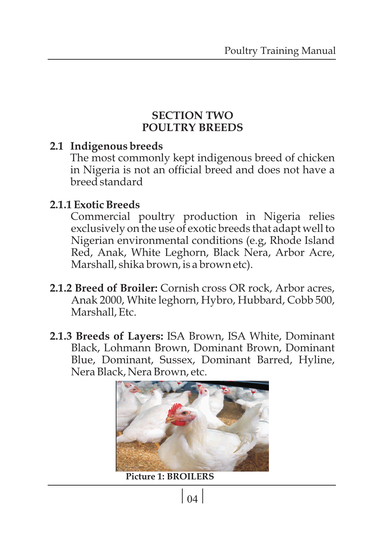#### **SECTION TWO POULTRY BREEDS**

#### **2.1 Indigenous breeds**

The most commonly kept indigenous breed of chicken in Nigeria is not an official breed and does not have a breed standard

#### **2.1.1 Exotic Breeds**

Commercial poultry production in Nigeria relies exclusively on the use of exotic breeds that adapt well to Nigerian environmental conditions (e.g, Rhode Island Red, Anak, White Leghorn, Black Nera, Arbor Acre, Marshall, shika brown, is a brown etc).

- **2.1.2 Breed of Broiler:** Cornish cross OR rock, Arbor acres, Anak 2000, White leghorn, Hybro, Hubbard, Cobb 500, Marshall, Etc.
- **2.1.3 Breeds of Layers:** ISA Brown, ISA White, Dominant Black, Lohmann Brown, Dominant Brown, Dominant Blue, Dominant, Sussex, Dominant Barred, Hyline, Nera Black, Nera Brown, etc.



**Picture 1: BROILERS**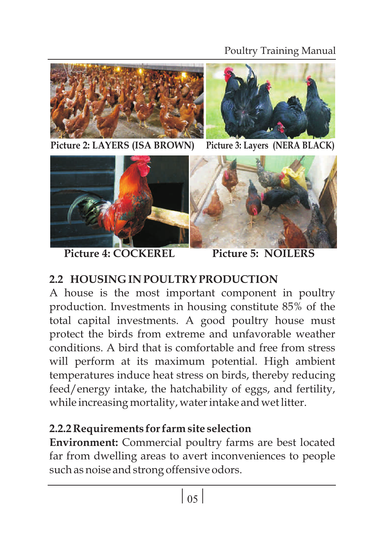#### Poultry Training Manual





**Picture 2: LAYERS (ISA BROWN) Picture 3: Layers (NERA BLACK)**



Picture 4: COCKEREL Picture 5: NOILERS

# **2.2 HOUSING IN POULTRY PRODUCTION**

A house is the most important component in poultry production. Investments in housing constitute 85% of the total capital investments. A good poultry house must protect the birds from extreme and unfavorable weather conditions. A bird that is comfortable and free from stress will perform at its maximum potential. High ambient temperatures induce heat stress on birds, thereby reducing feed/energy intake, the hatchability of eggs, and fertility, while increasing mortality, water intake and wet litter.

# **2.2.2 Requirements for farm site selection**

**Environment:** Commercial poultry farms are best located far from dwelling areas to avert inconveniences to people such as noise and strong offensive odors.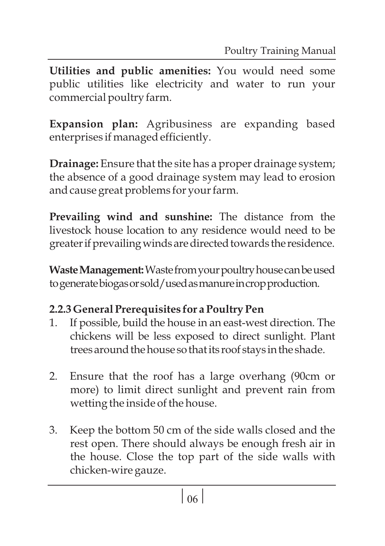**Utilities and public amenities:** You would need some public utilities like electricity and water to run your commercial poultry farm.

**Expansion plan:** Agribusiness are expanding based enterprises if managed efficiently.

**Drainage:** Ensure that the site has a proper drainage system; the absence of a good drainage system may lead to erosion and cause great problems for your farm.

**Prevailing wind and sunshine:** The distance from the livestock house location to any residence would need to be greater if prevailing winds are directed towards the residence.

**Waste Management:** Waste from your poultry house can be used togeneratebiogasorsold/usedasmanureincropproduction.

# **2.2.3 General Prerequisites for a Poultry Pen**

- 1. If possible, build the house in an east-west direction. The chickens will be less exposed to direct sunlight. Plant trees around the house so that its roof stays in the shade.
- 2. Ensure that the roof has a large overhang (90cm or more) to limit direct sunlight and prevent rain from wetting the inside of the house.
- 3. Keep the bottom 50 cm of the side walls closed and the rest open. There should always be enough fresh air in the house. Close the top part of the side walls with chicken-wire gauze.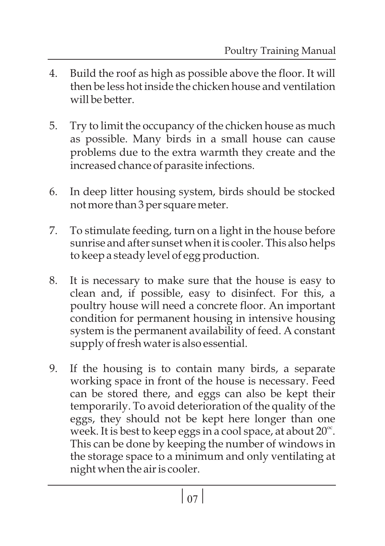- 4. Build the roof as high as possible above the floor. It will then be less hot inside the chicken house and ventilation will be better.
- 5. Try to limit the occupancy of the chicken house as much as possible. Many birds in a small house can cause problems due to the extra warmth they create and the increased chance of parasite infections.
- 6. In deep litter housing system, birds should be stocked not more than 3 per square meter.
- 7. To stimulate feeding, turn on a light in the house before sunrise and after sunset when it is cooler. This also helps to keep a steady level of egg production.
- 8. It is necessary to make sure that the house is easy to clean and, if possible, easy to disinfect. For this, a poultry house will need a concrete floor. An important condition for permanent housing in intensive housing system is the permanent availability of feed. A constant supply of fresh water is also essential.
- 9. If the housing is to contain many birds, a separate working space in front of the house is necessary. Feed can be stored there, and eggs can also be kept their temporarily. To avoid deterioration of the quality of the eggs, they should not be kept here longer than one week. It is best to keep eggs in a cool space, at about  $20^\circ$ . This can be done by keeping the number of windows in the storage space to a minimum and only ventilating at night when the air is cooler.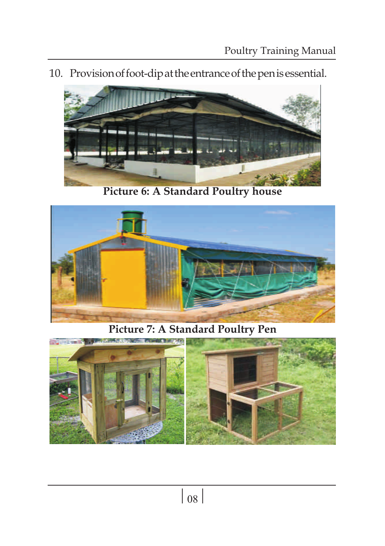10. Provisionoffoot-dipattheentranceofthepenisessential.



**Picture 6: A Standard Poultry house**



**Picture 7: A Standard Poultry Pen** 

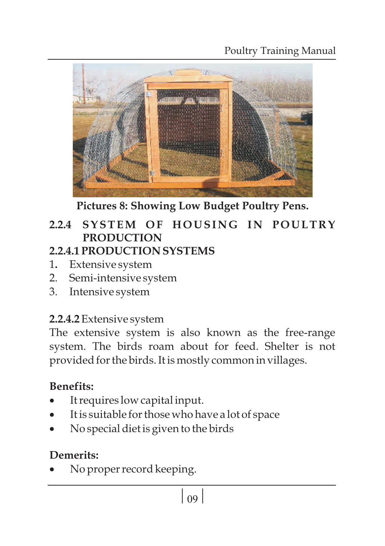Poultry Training Manual



**Pictures 8: Showing Low Budget Poultry Pens.**

# **2.2.4 SYSTEM O F H O USI N G I N P O ULTRY PRODUCTION**

# **2.2.4.1 PRODUCTION SYSTEMS**

- 1**.** Extensive system
- 2. Semi-intensive system
- 3. Intensive system

# **2.2.4.2**Extensive system

The extensive system is also known as the free-range system. The birds roam about for feed. Shelter is not provided for the birds. It is mostly common in villages.

# **Benefits:**

- 
- It requires low capital input.<br>• It is suitable for those who ha ·It is suitable for those who have a lot of space
- No special diet is given to the birds

# **Demerits:**

No proper record keeping.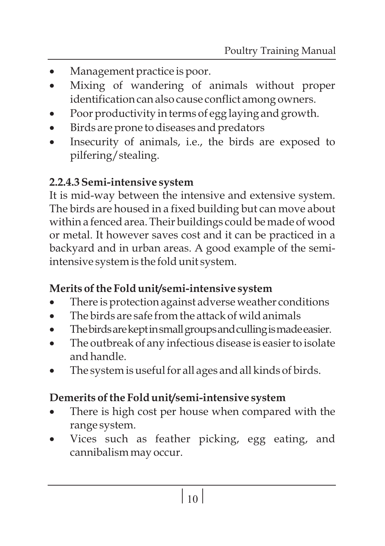- 
- ··Management practice is poor. Mixing of wandering of animals without proper
- ·identification can also cause conflict among owners.
- ·Poor productivity in terms of egg laying and growth.
- ·Birds are prone to diseases and predators Insecurity of animals, i.e., the birds are exposed to pilfering/stealing.

#### **2.2.4.3 Semi-intensive system**

It is mid-way between the intensive and extensive system. The birds are housed in a fixed building but can move about within a fenced area. Their buildings could be made of wood or metal. It however saves cost and it can be practiced in a backyard and in urban areas. A good example of the semiintensive system is the fold unit system.

- **Merits of the Fold unit/semi-intensive system**<br>• There is protection against adverse weathe
- There is protection against adverse weather conditions<br>• The birds are safe from the attack of wild animals
- The birds are safe from the attack of wild animals<br>The birds are kept in small groups and culling is made easier.
- ·Thebirdsarekeptinsmallgroupsandcullingismadeeasier. The outbreak of any infectious disease is easier to isolate
- ·and handle. The system is useful for all ages and all kinds of birds.

# Demerits of the Fold unit/semi-intensive system

- **Demerits of the Fold unit/semi-intensive system<br>• There is high cost per house when compared with the**
- ·range system. Vices such as feather picking, egg eating, and cannibalism may occur.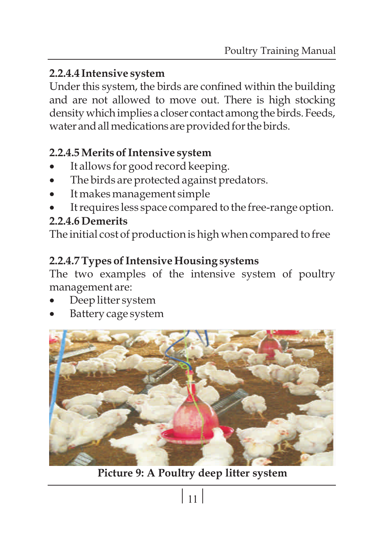#### **2.2.4.4 Intensive system**

Under this system, the birds are confined within the building and are not allowed to move out. There is high stocking density which implies a closer contact among the birds. Feeds, water and all medications are provided for the birds.

- ·**2.2.4.5 Merits of Intensive system**
- ·It allows for good record keeping. ·The birds are protected against predators.
- 
- ·It makes management simple It requires less space compared to the free-range option.

#### **2.2.4.6 Demerits**

The initial cost of production is high when compared to free

#### **2.2.4.7 Types of Intensive Housing systems**

The two examples of the intensive system of poultry

- management are:<br>• Deep litter sys
- ·Deep litter system Battery cage system



**Picture 9: A Poultry deep litter system**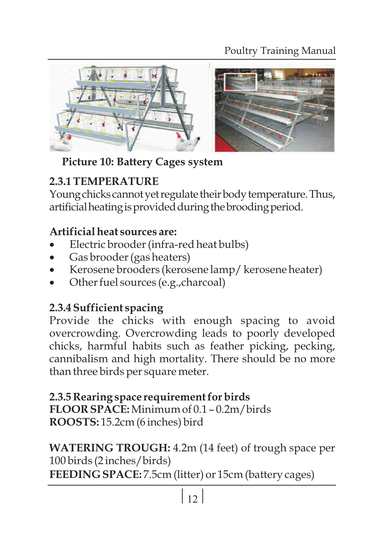

# **Picture 10: Battery Cages system**

# **2.3.1 TEMPERATURE**

Young chicks cannot yet regulate their body temperature. Thus, artificial heating is provided during the brooding period.

- ·**Artificial heat sources are:** ·Electric brooder (infra-red heat bulbs)
- 
- ·Gas brooder (gas heaters) ·Kerosene brooders (kerosene lamp/ kerosene heater)
- Other fuel sources (e.g.,charcoal)

# **2.3.4 Sufficient spacing**

Provide the chicks with enough spacing to avoid overcrowding. Overcrowding leads to poorly developed chicks, harmful habits such as feather picking, pecking, cannibalism and high mortality. There should be no more than three birds per square meter.

#### **2.3.5 Rearing space requirement for birds FLOOR SPACE:** Minimum of 0.1 – 0.2m/birds **ROOSTS:** 15.2cm (6 inches) bird

**WATERING TROUGH:** 4.2m (14 feet) of trough space per 100 birds (2 inches/birds)

**FEEDING SPACE:** 7.5cm (litter) or 15cm (battery cages)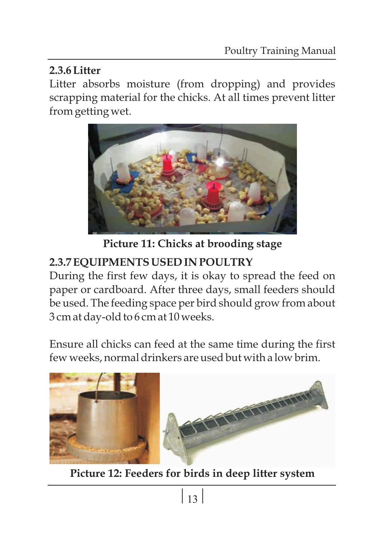#### **2.3.6 Litter**

Litter absorbs moisture (from dropping) and provides scrapping material for the chicks. At all times prevent litter from getting wet.



**Picture 11: Chicks at brooding stage**

# **2.3.7 EQUIPMENTS USED IN POULTRY**

During the first few days, it is okay to spread the feed on paper or cardboard. After three days, small feeders should be used. The feeding space per bird should grow from about 3 cm at day-old to 6 cm at 10 weeks.

Ensure all chicks can feed at the same time during the first few weeks, normal drinkers are used but with a low brim.



**Picture 12: Feeders for birds in deep litter system**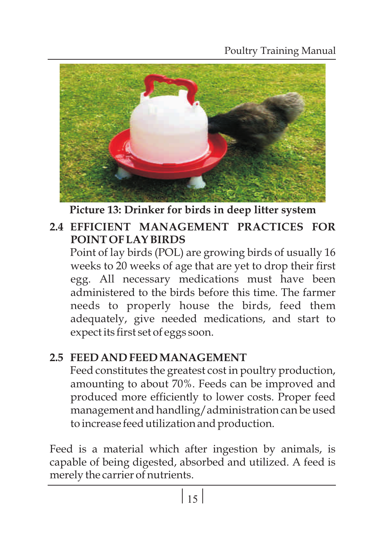Poultry Training Manual



**Picture 13: Drinker for birds in deep litter system**

# **2.4 EFFICIENT MANAGEMENT PRACTICES FOR POINT OF LAY BIRDS**

Point of lay birds (POL) are growing birds of usually 16 weeks to 20 weeks of age that are yet to drop their first egg. All necessary medications must have been administered to the birds before this time. The farmer needs to properly house the birds, feed them adequately, give needed medications, and start to expect its first set of eggs soon.

# **2.5 FEED AND FEED MANAGEMENT**

Feed constitutes the greatest cost in poultry production, amounting to about 70%. Feeds can be improved and produced more efficiently to lower costs. Proper feed management and handling/administration can be used to increase feed utilization and production.

Feed is a material which after ingestion by animals, is capable of being digested, absorbed and utilized. A feed is merely the carrier of nutrients.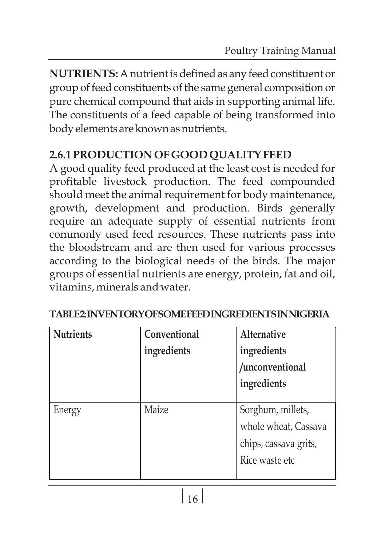**NUTRIENTS:** A nutrient is defined as any feed constituent or group of feed constituents of the same general composition or pure chemical compound that aids in supporting animal life. The constituents of a feed capable of being transformed into bodyelementsareknownasnutrients.

#### **2.6.1 PRODUCTION OF GOOD QUALITY FEED**

A good quality feed produced at the least cost is needed for profitable livestock production. The feed compounded should meet the animal requirement for body maintenance, growth, development and production. Birds generally require an adequate supply of essential nutrients from commonly used feed resources. These nutrients pass into the bloodstream and are then used for various processes according to the biological needs of the birds. The major groups of essential nutrients are energy, protein, fat and oil, vitamins, minerals and water.

| <b>Nutrients</b> | Conventional | <b>Alternative</b>    |
|------------------|--------------|-----------------------|
|                  | ingredients  | ingredients           |
|                  |              | /unconventional       |
|                  |              | ingredients           |
|                  |              |                       |
| Energy           | Maize        | Sorghum, millets,     |
|                  |              | whole wheat, Cassava  |
|                  |              | chips, cassava grits, |
|                  |              | Rice waste etc        |
|                  |              |                       |

#### **TABLE2:INVENTORYOFSOMEFEEDINGREDIENTSINNIGERIA**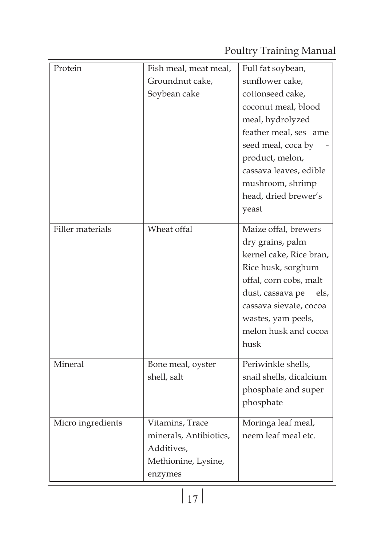Poultry Training Manual

| Protein           | Fish meal, meat meal,<br>Groundnut cake,                                                  | Full fat soybean,<br>sunflower cake,                                                                                                                                                                                            |
|-------------------|-------------------------------------------------------------------------------------------|---------------------------------------------------------------------------------------------------------------------------------------------------------------------------------------------------------------------------------|
|                   | Soybean cake                                                                              | cottonseed cake,<br>coconut meal, blood<br>meal, hydrolyzed<br>feather meal, ses ame<br>seed meal, coca by                                                                                                                      |
|                   |                                                                                           | product, melon,<br>cassava leaves, edible<br>mushroom, shrimp<br>head, dried brewer's<br>yeast                                                                                                                                  |
| Filler materials  | Wheat offal                                                                               | Maize offal, brewers<br>dry grains, palm<br>kernel cake, Rice bran,<br>Rice husk, sorghum<br>offal, corn cobs, malt<br>dust, cassava pe<br>els.<br>cassava sievate, cocoa<br>wastes, yam peels,<br>melon husk and cocoa<br>husk |
| Mineral           | Bone meal, oyster<br>shell, salt                                                          | Periwinkle shells,<br>snail shells, dicalcium<br>phosphate and super<br>phosphate                                                                                                                                               |
| Micro ingredients | Vitamins, Trace<br>minerals, Antibiotics,<br>Additives,<br>Methionine, Lysine,<br>enzymes | Moringa leaf meal,<br>neem leaf meal etc.                                                                                                                                                                                       |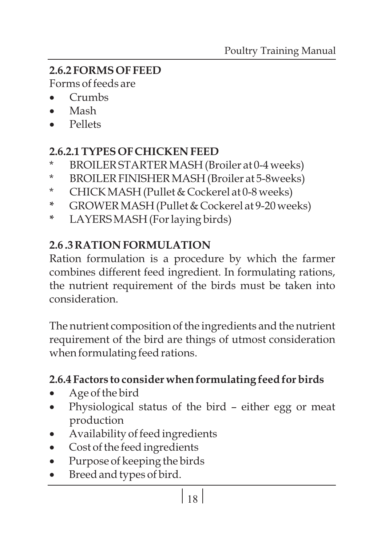# **2.6.2 FORMS OF FEED**

·Forms of feeds are

- Crumbs<br>Mash
- 
- Mash<br>• Pellets

#### **2.6.2.1 TYPES OF CHICKEN FEED**

- \* BROILER STARTER MASH (Broiler at 0-4 weeks)
- \* BROILER FINISHER MASH (Broiler at 5-8weeks)
- \* CHICK MASH (Pullet & Cockerel at 0-8 weeks)
- **\*** GROWER MASH (Pullet & Cockerel at 9-20 weeks)
- **\*** LAYERS MASH (For laying birds)

#### **2.6 .3 RATION FORMULATION**

Ration formulation is a procedure by which the farmer combines different feed ingredient. In formulating rations, the nutrient requirement of the birds must be taken into consideration.

The nutrient composition of the ingredients and the nutrient requirement of the bird are things of utmost consideration when formulating feed rations.

# ·**2.6.4 Factors to consider when formulating feed for birds**

- 
- ·Age of the bird Physiological status of the bird either egg or meat
- production<br>Availability of feed ingredients
- $\bullet$  Cost of the feed ingredients
- Cost of the feed ingredients<br>• Purpose of keeping the bird • Purpose of keeping the birds<br>• Breed and types of bird.
- Breed and types of bird.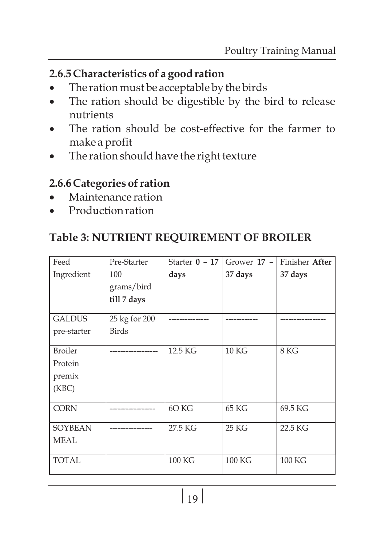- **2.6.5 Characteristics of a good ration**<br>• The ration must be acceptable by the birds
- ·The ration must be acceptable by the birds The ration should be digestible by the bird to release
- nutrients<br>• The ration should be cost-effective for the farmer to
- ·make a profit The ration should have the right texture

# **2.6.6 Categories of ration**<br>• Maintenance ration

- 
- ·Maintenance ration Production ration

#### **Table 3: NUTRIENT REQUIREMENT OF BROILER**

| Feed           | Pre-Starter   | Starter $0 - 17$ | Grower $17 -$    | Finisher After |
|----------------|---------------|------------------|------------------|----------------|
| Ingredient     | 100           | days             | 37 days          | 37 days        |
|                | grams/bird    |                  |                  |                |
|                | till 7 days   |                  |                  |                |
| <b>GALDUS</b>  | 25 kg for 200 |                  |                  |                |
| pre-starter    | <b>Birds</b>  |                  |                  |                |
| <b>Broiler</b> |               | 12.5 KG          | 10 <sub>KG</sub> | 8 KG           |
| Protein        |               |                  |                  |                |
| premix         |               |                  |                  |                |
| (KBC)          |               |                  |                  |                |
| <b>CORN</b>    |               | 6O KG            | 65 KG            | 69.5 KG        |
| <b>SOYBEAN</b> |               | 27.5 KG          | 25 KG            | 22.5 KG        |
| <b>MEAL</b>    |               |                  |                  |                |
| <b>TOTAL</b>   |               | 100 KG           | 100 KG           | 100 KG         |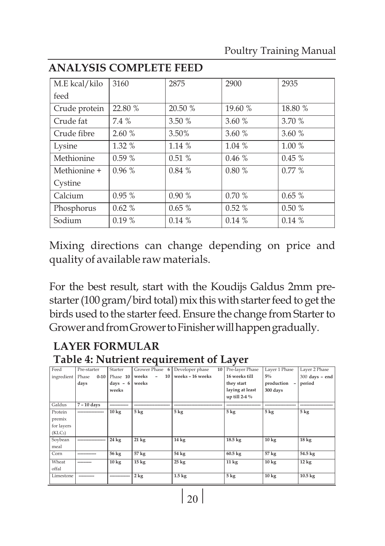| M.E kcal/kilo | 3160     | 2875    | 2900     | 2935     |
|---------------|----------|---------|----------|----------|
| feed          |          |         |          |          |
| Crude protein | 22.80 %  | 20.50 % | 19.60 %  | 18.80 %  |
| Crude fat     | 7.4 %    | 3.50 %  | 3.60%    | 3.70 %   |
| Crude fibre   | 2.60%    | 3.50%   | 3.60%    | 3.60%    |
| Lysine        | 1.32 %   | 1.14%   | 1.04%    | 1.00 %   |
| Methionine    | 0.59%    | 0.51%   | 0.46%    | $0.45\%$ |
| Methionine +  | $0.96\%$ | 0.84%   | 0.80%    | $0.77\%$ |
| Cystine       |          |         |          |          |
| Calcium       | $0.95\%$ | 0.90%   | 0.70%    | 0.65%    |
| Phosphorus    | $0.62\%$ | 0.65%   | $0.52\%$ | 0.50%    |
| Sodium        | 0.19%    | 0.14%   | 0.14%    | 0.14%    |

#### **ANALYSIS COMPLETE FEED**

Mixing directions can change depending on price and quality of available raw materials.

For the best result, start with the Koudijs Galdus 2mm prestarter (100 gram/bird total) mix this with starter feed to get the birds used to the starter feed. Ensure the change from Starter to Grower and from Grower to Finisher will happen gradually.

#### **LAYER FORMULAR Table 4: Nutrient requirement of Layer**

| Feed                | Pre-starter       | Starter         | Grower Phase 6  | Developer phase<br>10 <sup>1</sup> | Pre-layer Phase   | Layer 1 Phase   | Layer 2 Phase     |
|---------------------|-------------------|-----------------|-----------------|------------------------------------|-------------------|-----------------|-------------------|
| ingredient          | Phase<br>$0 - 10$ | Phase 10        | 10<br>weeks     | weeks - 16 weeks                   | 16 weeks till     | $5\%$           | $300$ days - end  |
|                     | days              | $days - 6$      | weeks           |                                    | they start        | production      | period            |
|                     |                   | weeks           |                 |                                    | laying at least   | 300 days        |                   |
|                     |                   |                 |                 |                                    | up till 2-4 %     |                 |                   |
| Galdus              | 7 - 10 days       |                 |                 |                                    |                   |                 |                   |
| Protein             |                   | $10 \text{ kg}$ | $5 \text{ kg}$  | 5 <sub>kg</sub>                    | $5 \text{ kg}$    | $5 \text{ kg}$  | 5 <sub>kg</sub>   |
| premix              |                   |                 |                 |                                    |                   |                 |                   |
| for layers          |                   |                 |                 |                                    |                   |                 |                   |
| (KLC <sub>5</sub> ) |                   |                 |                 |                                    |                   |                 |                   |
| Soybean             |                   | $24 \text{ kg}$ | $21 \text{ kg}$ | $14 \text{ kg}$                    | 18.5 kg           | $10 \text{ kg}$ | $18 \text{ kg}$   |
| meal                |                   |                 |                 |                                    |                   |                 |                   |
| Corn                |                   | 56 kg           | 57 kg           | 54 kg                              | $60.5 \text{ kg}$ | 57 kg           | 54.5 kg           |
| Wheat               |                   | 10 kg           | $15 \text{ kg}$ | $25 \text{ kg}$                    | $11 \text{ kg}$   | $10 \text{ kg}$ | $12 \text{ kg}$   |
| offal               |                   |                 |                 |                                    |                   |                 |                   |
| Limestone           |                   |                 | 2 kg            | $1.5 \text{ kg}$                   | 5 <sub>kg</sub>   | $10 \text{ kg}$ | $10.5 \text{ kg}$ |
|                     |                   |                 |                 |                                    |                   |                 |                   |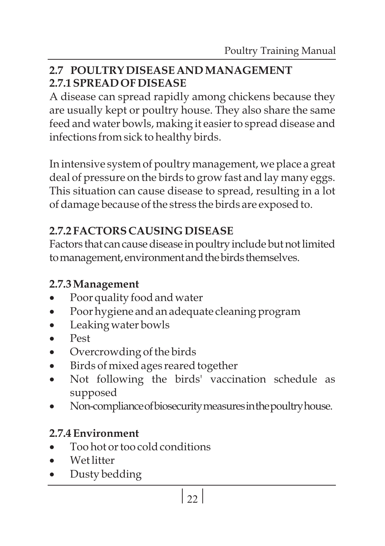#### **2.7 POULTRY DISEASE AND MANAGEMENT 2.7.1 SPREAD OF DISEASE**

A disease can spread rapidly among chickens because they are usually kept or poultry house. They also share the same feed and water bowls, making it easier to spread disease and infections from sick to healthy birds.

In intensive system of poultry management, we place a great deal of pressure on the birds to grow fast and lay many eggs. This situation can cause disease to spread, resulting in a lot of damage because of the stress the birds are exposed to.

# **2.7.2 FACTORS CAUSING DISEASE**

Factors that can cause disease in poultry include but not limited to management, environment and the birds themselves.

- **2.7.3** ·**Management**
- ·Poor quality food and water ·Poor hygiene and an adequate cleaning program
- Leaking water bowls<br>• Pest
- 
- Overcrowding of the birds
- Birds of mixed ages reared together
- ·Birds of mixed ages reared together Not following the birds' vaccination schedule as
- ·supposed Non-complianceofbiosecuritymeasuresinthepoultryhouse.

- **2.7.4** ·**Environment** Too hot or too cold conditions<br>Wet litter
- 
- ·Wet litter Dusty bedding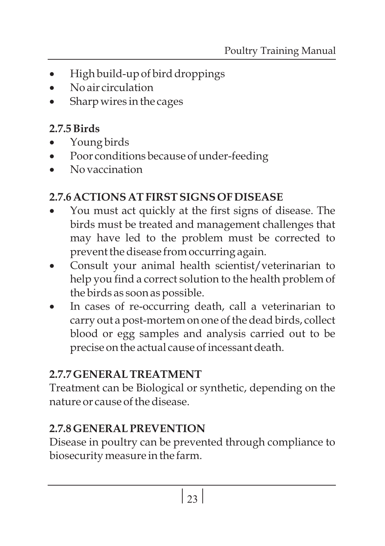- High build-up of bird droppings<br>No air circulation
- 
- ·No air circulation Sharp wires in the cages

- **2.7.5 Birds**<br>• Young
- ·Young birds ·Poor conditions because of under-feeding
- No vaccination

- ·**2.7.6 ACTIONS AT FIRST SIGNS OF DISEASE** You must act quickly at the first signs of disease. The birds must be treated and management challenges that may have led to the problem must be corrected to
- ·prevent the disease from occurring again. Consult your animal health scientist/veterinarian to help you find a correct solution to the health problem of
- ·the birds as soon as possible. In cases of re-occurring death, call a veterinarian to carry out a post-mortem on one of the dead birds, collect blood or egg samples and analysis carried out to be precise on the actual cause of incessant death.

# **2.7.7 GENERAL TREATMENT**

Treatment can be Biological or synthetic, depending on the nature or cause of the disease.

# **2.7.8 GENERAL PREVENTION**

Disease in poultry can be prevented through compliance to biosecurity measure in the farm.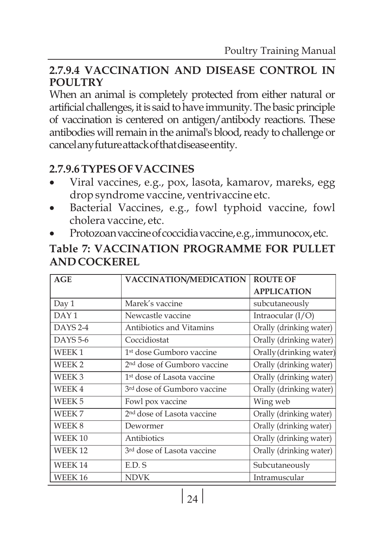#### **2.7.9.4 VACCINATION AND DISEASE CONTROL IN POULTRY**

When an animal is completely protected from either natural or artificial challenges, it is said to have immunity. The basic principle of vaccination is centered on antigen/antibody reactions. These antibodies will remain in the animal's blood, ready to challenge or cancelanyfutureattackofthatdiseaseentity.

#### **2.7.9.6**

- ·**TYPES OF VACCINES** Viral vaccines, e.g., pox, lasota, kamarov, mareks, egg
- ·drop syndrome vaccine, ventrivaccine etc. Bacterial Vaccines, e.g., fowl typhoid vaccine, fowl
- ·cholera vaccine, etc. Protozoanvaccineofcoccidiavaccine,e.g.,immunocox,etc.

#### **Table 7: VACCINATION PROGRAMME FOR PULLET AND COCKEREL**

| AGE                | VACCINATION/MEDICATION                  | <b>ROUTE OF</b>         |
|--------------------|-----------------------------------------|-------------------------|
|                    |                                         | <b>APPLICATION</b>      |
| Day 1              | Marek's vaccine                         | subcutaneously          |
| DAY <sub>1</sub>   | Newcastle vaccine                       | Intraocular $(I/O)$     |
| $DAYS$ 2-4         | Antibiotics and Vitamins                | Orally (drinking water) |
| <b>DAYS 5-6</b>    | Coccidiostat                            | Orally (drinking water) |
| WEEK1              | 1 <sup>st</sup> dose Gumboro vaccine    | Orally (drinking water) |
| WEEK <sub>2</sub>  | 2 <sup>nd</sup> dose of Gumboro vaccine | Orally (drinking water) |
| WEEK <sub>3</sub>  | 1 <sup>st</sup> dose of Lasota vaccine  | Orally (drinking water) |
| WEEK4              | 3 <sup>rd</sup> dose of Gumboro vaccine | Orally (drinking water) |
| WEEK <sub>5</sub>  | Fowl pox vaccine                        | Wing web                |
| WEEK 7             | 2 <sup>nd</sup> dose of Lasota vaccine  | Orally (drinking water) |
| WEEK 8             | Dewormer                                | Orally (drinking water) |
| WEEK <sub>10</sub> | Antibiotics                             | Orally (drinking water) |
| WEEK <sub>12</sub> | 3 <sup>rd</sup> dose of Lasota vaccine  | Orally (drinking water) |
| <b>WEEK14</b>      | E.D. S                                  | Subcutaneously          |
| WEEK <sub>16</sub> | <b>NDVK</b>                             | Intramuscular           |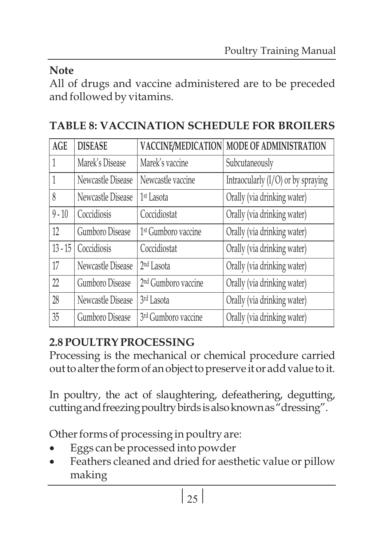#### **Note**

All of drugs and vaccine administered are to be preceded and followed by vitamins.

# **TABLE 8: VACCINATION SCHEDULE FOR BROILERS**

| <b>AGE</b> | <b>DISEASE</b>    | VACCINE/MEDICATION              | MODE OF ADMINISTRATION               |
|------------|-------------------|---------------------------------|--------------------------------------|
|            | Marek's Disease   | Marek's vaccine                 | Subcutaneously                       |
|            | Newcastle Disease | Newcastle vaccine               | Intraocularly $(I/O)$ or by spraying |
| 8          | Newcastle Disease | 1 <sup>st</sup> Lasota          | Orally (via drinking water)          |
| $9 - 10$   | Coccidiosis       | Coccidiostat                    | Orally (via drinking water)          |
| 12         | Gumboro Disease   | 1 <sup>st</sup> Gumboro vaccine | Orally (via drinking water)          |
| $13 - 15$  | Coccidiosis       | Coccidiostat                    | Orally (via drinking water)          |
| 17         | Newcastle Disease | 2 <sup>nd</sup> Lasota          | Orally (via drinking water)          |
| 22         | Gumboro Disease   | 2 <sup>nd</sup> Gumboro vaccine | Orally (via drinking water)          |
| 28         | Newcastle Disease | 3rd Lasota                      | Orally (via drinking water)          |
| 35         | Gumboro Disease   | 3rd Gumboro vaccine             | Orally (via drinking water)          |

# **2.8 POULTRY PROCESSING**

Processing is the mechanical or chemical procedure carried out to alter the form of an object to preserve it or add value to it.

In poultry, the act of slaughtering, defeathering, degutting, cutting and freezing poultry birds is also known as "dressing".

Other forms of processing in poultry are:<br>• Eggs can be processed into powder

- 
- ·Eggs can be processed into powder Feathers cleaned and dried for aesthetic value or pillow making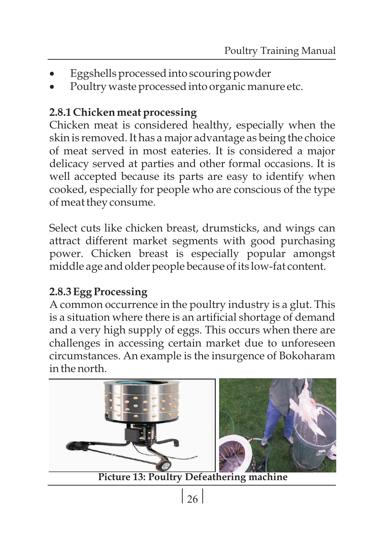- 
- ··Eggshells processed into scouring powder Poultry waste processed into organic manure etc.

#### **2.8.1 Chicken meat processing**

Chicken meat is considered healthy, especially when the skin is removed. It has a major advantage as being the choice of meat served in most eateries. It is considered a major delicacy served at parties and other formal occasions. It is well accepted because its parts are easy to identify when cooked, especially for people who are conscious of the type of meat they consume.

Select cuts like chicken breast, drumsticks, and wings can attract different market segments with good purchasing power. Chicken breast is especially popular amongst middle age and older people because of its low-fat content.

#### **2.8.3 Egg Processing**

A common occurrence in the poultry industry is a glut. This is a situation where there is an artificial shortage of demand and a very high supply of eggs. This occurs when there are challenges in accessing certain market due to unforeseen circumstances. An example is the insurgence of Bokoharam in the north.



 $26$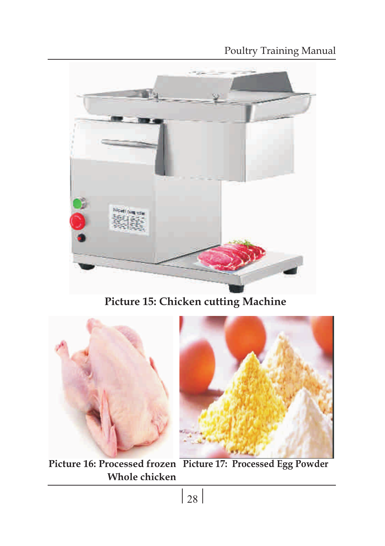#### Poultry Training Manual



**Picture 15: Chicken cutting Machine**





**Picture 16: Processed frozen Picture 17: Processed Egg Powder Whole chicken**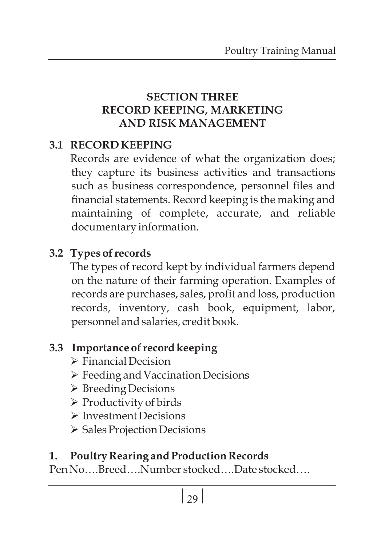#### **SECTION THREE RECORD KEEPING, MARKETING AND RISK MANAGEMENT**

#### **3.1 RECORD KEEPING**

Records are evidence of what the organization does; they capture its business activities and transactions such as business correspondence, personnel files and financial statements. Record keeping is the making and maintaining of complete, accurate, and reliable documentary information.

# **3.2 Types of records**

The types of record kept by individual farmers depend on the nature of their farming operation. Examples of records are purchases, sales, profit and loss, production records, inventory, cash book, equipment, labor, personnel and salaries, credit book.

# **3.3 Importance of record keeping**

- Ø Financial Decision
- Ø Feeding and Vaccination Decisions
- Ø Breeding Decisions
- Ø Productivity of birds
- Ø Investment Decisions
- Ø Sales Projection Decisions

#### **1. Poultry Rearing and Production Records**

Pen No….Breed….Number stocked….Date stocked….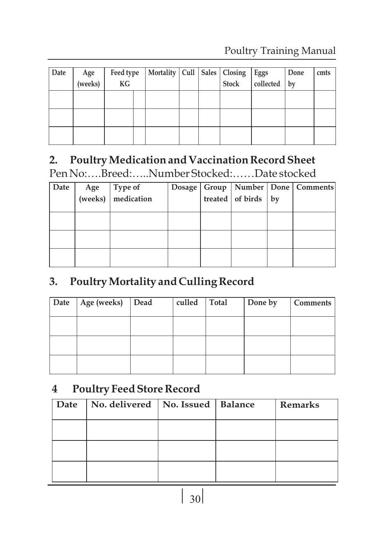#### Poultry Training Manual

| Date | Age<br>(weeks) | Feed type<br>KG | Mortality Cull Sales Closing Eggs cliected |  |  | Done<br>$ $ by | cmts |
|------|----------------|-----------------|--------------------------------------------|--|--|----------------|------|
|      |                |                 |                                            |  |  |                |      |
|      |                |                 |                                            |  |  |                |      |
|      |                |                 |                                            |  |  |                |      |

# **2. Poultry Medication and Vaccination Record Sheet**

Pen No:….Breed:…..Number Stocked:……Date stocked

| Date |                                                                                                      |  |                         | Dosage   Group   Number   Done   Comments |
|------|------------------------------------------------------------------------------------------------------|--|-------------------------|-------------------------------------------|
|      | Age $\begin{array}{c} \begin{array}{c} \text{Type of} \\ \text{mredication} \end{array} \end{array}$ |  | treated of birds $ $ by |                                           |
|      |                                                                                                      |  |                         |                                           |
|      |                                                                                                      |  |                         |                                           |
|      |                                                                                                      |  |                         |                                           |
|      |                                                                                                      |  |                         |                                           |
|      |                                                                                                      |  |                         |                                           |
|      |                                                                                                      |  |                         |                                           |
|      |                                                                                                      |  |                         |                                           |

#### **3. Poultry Mortality and Culling Record**

| Date | Age (weeks) Dead | culled Total | Done by | Comments |
|------|------------------|--------------|---------|----------|
|      |                  |              |         |          |
|      |                  |              |         |          |
|      |                  |              |         |          |

#### **4 Poultry Feed Store Record**

| Date | No. delivered   No. Issued   Balance |  | <b>Remarks</b> |
|------|--------------------------------------|--|----------------|
|      |                                      |  |                |
|      |                                      |  |                |
|      |                                      |  |                |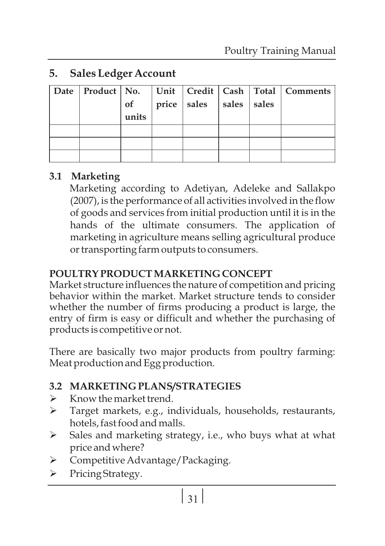#### **5. Sales Ledger Account**

|  |       |                         |  | Date   Product   No.   Unit   Credit   Cash   Total   Comments |
|--|-------|-------------------------|--|----------------------------------------------------------------|
|  | of    | price sales sales sales |  |                                                                |
|  | units |                         |  |                                                                |
|  |       |                         |  |                                                                |
|  |       |                         |  |                                                                |
|  |       |                         |  |                                                                |

#### **3.1 Marketing**

Marketing according to Adetiyan, Adeleke and Sallakpo (2007), is the performance of all activities involved in the flow of goods and services from initial production until it is in the hands of the ultimate consumers. The application of marketing in agriculture means selling agricultural produce or transporting farm outputs to consumers.

#### **POULTRY PRODUCT MARKETING CONCEPT**

Market structure influences the nature of competition and pricing behavior within the market. Market structure tends to consider whether the number of firms producing a product is large, the entry of firm is easy or difficult and whether the purchasing of products is competitive or not.

There are basically two major products from poultry farming: Meat production and Egg production.

#### **3.2 MARKETING PLANS/STRATEGIES**

- Ø Know the market trend.
- Ø Target markets, e.g., individuals, households, restaurants, hotels, fast food and malls.
- Ø Sales and marketing strategy, i.e., who buys what at what price and where?
- Ø Competitive Advantage/Packaging.
- Ø Pricing Strategy.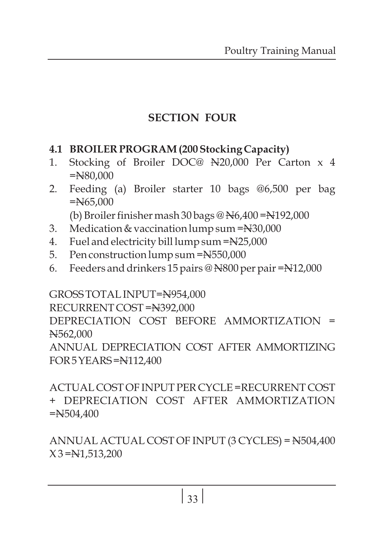# **SECTION FOUR**

#### **4.1 BROILER PROGRAM (200 Stocking Capacity)**

- 1. Stocking of Broiler DOC@ N20,000 Per Carton x 4 =N80,000
- 2. Feeding (a) Broiler starter 10 bags @6,500 per bag  $=$ N $65.000$

(b) Broiler finisher mash 30 bags @ N6,400 =N192,000

- 3. Medication & vaccination lump sum =N30,000
- 4. Fuel and electricity bill lump sum =N25,000
- 5. Pen construction lump sum =N550,000
- 6. Feeders and drinkers 15 pairs @ N800 per pair =N12,000

GROSS TOTAL INPUT=N954,000 RECURRENT COST =N392,000 DEPRECIATION COST BEFORE AMMORTIZATION = N562,000 ANNUAL DEPRECIATION COST AFTER AMMORTIZING FOR5YEARS=N112,400

ACTUAL COST OF INPUT PER CYCLE =RECURRENT COST + DEPRECIATION COST AFTER AMMORTIZATION  $=$ N $504.400$ 

ANNUAL ACTUAL COST OF INPUT (3 CYCLES) = N504,400  $X3 = N1,513,200$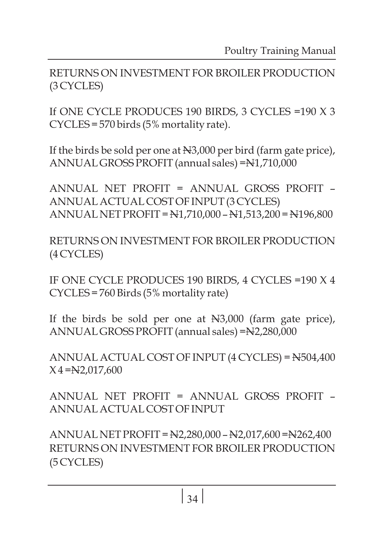RETURNS ON INVESTMENT FOR BROILER PRODUCTION (3 CYCLES)

If ONE CYCLE PRODUCES 190 BIRDS, 3 CYCLES =190 X 3 CYCLES = 570 birds (5% mortality rate).

If the birds be sold per one at N3,000 per bird (farm gate price), ANNUAL GROSS PROFIT (annual sales) =N1,710,000

ANNUAL NET PROFIT = ANNUAL GROSS PROFIT – ANNUAL ACTUAL COST OF INPUT (3 CYCLES) ANNUAL NET PROFIT = N1,710,000 – N1,513,200 = N196,800

RETURNS ON INVESTMENT FOR BROILER PRODUCTION (4 CYCLES)

IF ONE CYCLE PRODUCES 190 BIRDS, 4 CYCLES =190 X 4 CYCLES = 760 Birds (5% mortality rate)

If the birds be sold per one at N3,000 (farm gate price), ANNUAL GROSS PROFIT (annual sales) =N2,280,000

ANNUAL ACTUAL COST OF INPUT (4 CYCLES) = N504,400  $X$ 4 = $N2,017,600$ 

ANNUAL NET PROFIT = ANNUAL GROSS PROFIT – ANNUAL ACTUAL COST OF INPUT

ANNUAL NET PROFIT = N2,280,000 – N2,017,600 =N262,400 RETURNS ON INVESTMENT FOR BROILER PRODUCTION (5 CYCLES)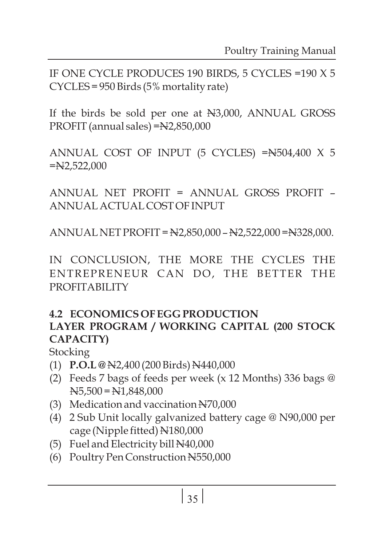IF ONE CYCLE PRODUCES 190 BIRDS, 5 CYCLES =190 X 5 CYCLES = 950 Birds (5% mortality rate)

If the birds be sold per one at N3,000, ANNUAL GROSS PROFIT (annual sales) =N2,850,000

ANNUAL COST OF INPUT (5 CYCLES) =N504,400 X 5  $=$ N2,522,000

ANNUAL NET PROFIT = ANNUAL GROSS PROFIT – ANNUAL ACTUAL COST OF INPUT

ANNUAL NET PROFIT = N2,850,000 – N2,522,000 =N328,000.

IN CONCLUSION, THE MORE THE CYCLES THE ENTREPRENEUR CAN DO, THE BETTER THE PROFITABILITY

#### **4.2 ECONOMICS OF EGG PRODUCTION LAYER PROGRAM / WORKING CAPITAL (200 STOCK CAPACITY)**

Stocking

- (1) **P.O.L @** N2,400 (200 Birds) N440,000
- (2) Feeds 7 bags of feeds per week (x 12 Months) 336 bags @  $N5,500 = N1,848,000$
- (3) Medication and vaccination N70,000
- (4) 2 Sub Unit locally galvanized battery cage @ N90,000 per cage (Nipple fitted) N180,000
- (5) Fuel and Electricity bill N40,000
- (6) Poultry Pen Construction N550,000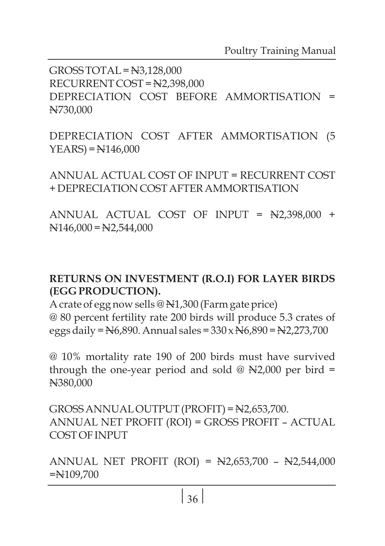GROSS TOTAL = N3,128,000 RECURRENT COST = N2,398,000 DEPRECIATION COST BEFORE AMMORTISATION = N730,000

DEPRECIATION COST AFTER AMMORTISATION (5  $YEARS = N146,000$ 

ANNUAL ACTUAL COST OF INPUT = RECURRENT COST + DEPRECIATION COST AFTER AMMORTISATION

ANNUAL ACTUAL COST OF INPUT = N2,398,000 +  $N146,000 = N2,544,000$ 

#### **RETURNS ON INVESTMENT (R.O.I) FOR LAYER BIRDS (EGG PRODUCTION).**

A crate of egg now sells @ N1,300 (Farm gate price) @ 80 percent fertility rate 200 birds will produce 5.3 crates of eggs daily =  $N6,890$ . Annual sales =  $330 \times N6,890$  =  $N2,273,700$ 

@ 10% mortality rate 190 of 200 birds must have survived through the one-year period and sold  $\textcircled{a}$  N2,000 per bird = N380,000

GROSS ANNUAL OUTPUT (PROFIT) = N2,653,700. ANNUAL NET PROFIT (ROI) = GROSS PROFIT – ACTUAL COST OF INPUT

ANNUAL NET PROFIT (ROI) = N2,653,700 – N2,544,000 =N109,700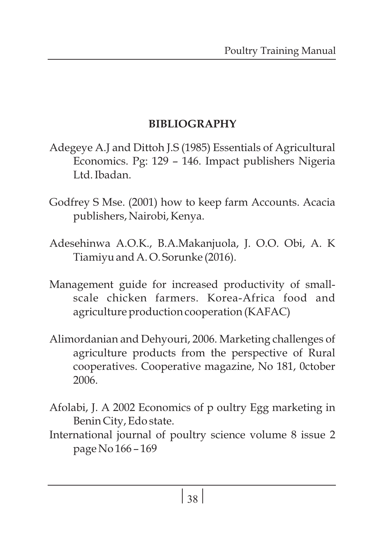#### **BIBLIOGRAPHY**

- Adegeye A.J and Dittoh J.S (1985) Essentials of Agricultural Economics. Pg: 129 – 146. Impact publishers Nigeria Ltd. Ibadan.
- Godfrey S Mse. (2001) how to keep farm Accounts. Acacia publishers, Nairobi, Kenya.
- Adesehinwa A.O.K., B.A.Makanjuola, J. O.O. Obi, A. K Tiamiyu and A. O. Sorunke (2016).
- Management guide for increased productivity of smallscale chicken farmers. Korea-Africa food and agriculture production cooperation (KAFAC)
- Alimordanian and Dehyouri, 2006. Marketing challenges of agriculture products from the perspective of Rural cooperatives. Cooperative magazine, No 181, 0ctober 2006.
- Afolabi, J. A 2002 Economics of p oultry Egg marketing in Benin City, Edo state.
- International journal of poultry science volume 8 issue 2 page No 166 – 169